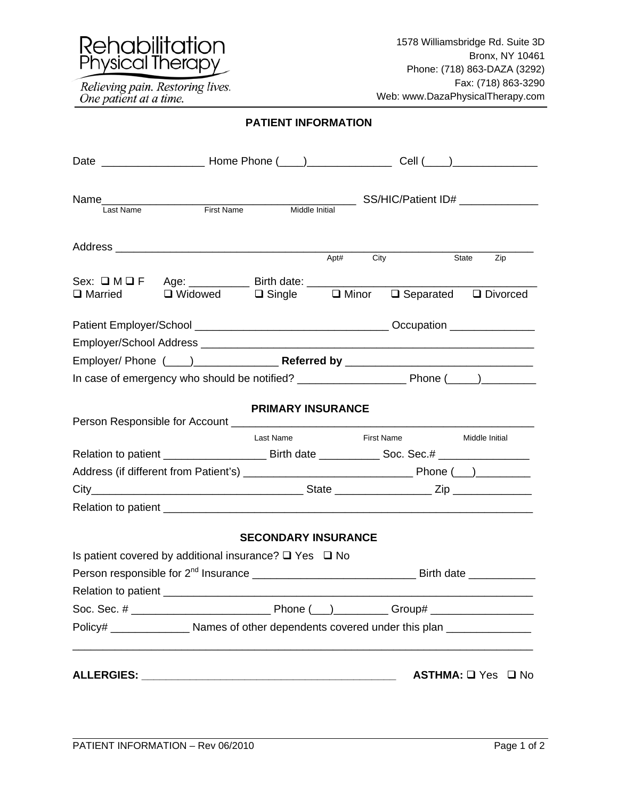

Relieving pain. Restoring lives.<br>One patient at a time.

## **PATIENT INFORMATION**

|                | Name<br>I ast Name<br>First Name                                                                           |                            |      | SS/HIC/Patient ID# ________________ |                    |
|----------------|------------------------------------------------------------------------------------------------------------|----------------------------|------|-------------------------------------|--------------------|
|                |                                                                                                            | Middle Initial             |      |                                     |                    |
|                |                                                                                                            |                            | Apt# | City                                | State<br>Zip       |
|                |                                                                                                            |                            |      |                                     |                    |
| $\Box$ Married | Sex: $\square M \square F$ Age: Birth date: $\square$<br>□ Widowed □ Single □ Minor □ Separated □ Divorced |                            |      |                                     |                    |
|                |                                                                                                            |                            |      |                                     |                    |
|                |                                                                                                            |                            |      |                                     |                    |
|                |                                                                                                            |                            |      |                                     |                    |
|                |                                                                                                            |                            |      |                                     |                    |
|                |                                                                                                            | <b>PRIMARY INSURANCE</b>   |      |                                     |                    |
|                |                                                                                                            | Last Name                  |      | <b>First Name</b>                   | Middle Initial     |
|                |                                                                                                            |                            |      |                                     |                    |
|                |                                                                                                            |                            |      |                                     |                    |
|                |                                                                                                            |                            |      |                                     |                    |
|                |                                                                                                            |                            |      |                                     |                    |
|                |                                                                                                            | <b>SECONDARY INSURANCE</b> |      |                                     |                    |
|                | Is patient covered by additional insurance? $\square$ Yes $\square$ No                                     |                            |      |                                     |                    |
|                |                                                                                                            |                            |      |                                     |                    |
|                |                                                                                                            |                            |      |                                     |                    |
|                |                                                                                                            |                            |      |                                     |                    |
|                | Policy# ________________________ Names of other dependents covered under this plan ________________        |                            |      |                                     |                    |
|                |                                                                                                            |                            |      |                                     | ASTHMA: □ Yes □ No |